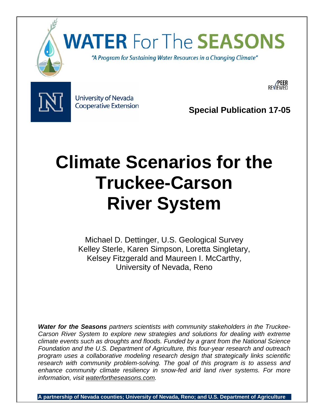

# **WATER For The SEASONS**

"A Program for Sustaining Water Resources in a Changing Climate"



University of Nevada **Cooperative Extension** 

**Special Publication 17-05** 

## **Climate Scenarios for the Truckee-Carson River System**

Michael D. Dettinger, U.S. Geological Survey Kelley Sterle, Karen Simpson, Loretta Singletary, Kelsey Fitzgerald and Maureen I. McCarthy, University of Nevada, Reno

*Water for the Seasons partners scientists with community stakeholders in the Truckee-Carson River System to explore new strategies and solutions for dealing with extreme climate events such as droughts and floods. Funded by a grant from the National Science Foundation and the U.S. Department of Agriculture, this four-year research and outreach program uses a collaborative modeling research design that strategically links scientific research with community problem-solving. The goal of this program is to assess and enhance community climate resiliency in snow-fed arid land river systems. For more information, visit waterfortheseasons.com.* 

**A partnership of Nevada counties; University of Nevada, Reno; and U.S. Department of Agriculture**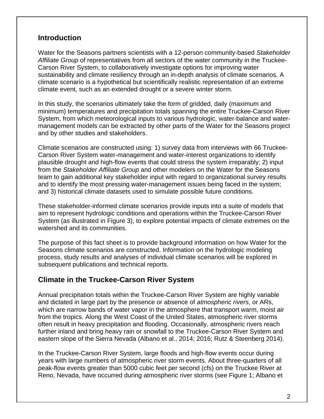## **Introduction**

Water for the Seasons partners scientists with a 12-person community-based *Stakeholder Affiliate Group* of representatives from all sectors of the water community in the Truckee-Carson River System, to collaboratively investigate options for improving water sustainability and climate resiliency through an in-depth analysis of climate scenarios. A climate scenario is a hypothetical but scientifically realistic representation of an extreme climate event, such as an extended drought or a severe winter storm.

In this study, the scenarios ultimately take the form of gridded, daily (maximum and minimum) temperatures and precipitation totals spanning the entire Truckee-Carson River System, from which meteorological inputs to various hydrologic, water-balance and watermanagement models can be extracted by other parts of the Water for the Seasons project and by other studies and stakeholders.

Climate scenarios are constructed using: 1) survey data from interviews with 66 Truckee-Carson River System water-management and water-interest organizations to identify plausible drought and high-flow events that could stress the system irreparably; 2) input from the *Stakeholder Affiliate Group* and other modelers on the Water for the Seasons team to gain additional key stakeholder input with regard to organizational survey results and to identify the most pressing water-management issues being faced in the system; and 3) historical climate datasets used to simulate possible future conditions.

These stakeholder-informed climate scenarios provide inputs into a suite of models that aim to represent hydrologic conditions and operations within the Truckee-Carson River System (as illustrated in Figure 3), to explore potential impacts of climate extremes on the watershed and its communities.

The purpose of this fact sheet is to provide background information on how Water for the Seasons climate scenarios are constructed. Information on the hydrologic modeling process, study results and analyses of individual climate scenarios will be explored in subsequent publications and technical reports.

### **Climate in the Truckee-Carson River System**

Annual precipitation totals within the Truckee-Carson River System are highly variable and dictated in large part by the presence or absence of *atmospheric rivers,* or ARs, which are narrow bands of water vapor in the atmosphere that transport warm, moist air from the tropics. Along the West Coast of the United States, atmospheric river storms often result in heavy precipitation and flooding. Occasionally, atmospheric rivers reach further inland and bring heavy rain or snowfall to the Truckee-Carson River System and eastern slope of the Sierra Nevada (Albano et al., 2014; 2016; Rutz & Steenberg 2014).

In the Truckee-Carson River System, large floods and high-flow events occur during years with large numbers of atmospheric river storm events. About three-quarters of all peak-flow events greater than 5000 cubic feet per second (cfs) on the Truckee River at Reno, Nevada, have occurred during atmospheric river storms (see Figure 1; Albano et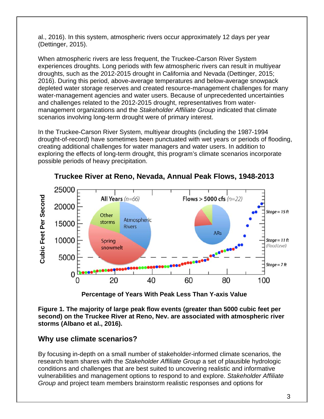al., 2016). In this system, atmospheric rivers occur approximately 12 days per year (Dettinger, 2015).

When atmospheric rivers are less frequent, the Truckee-Carson River System experiences droughts. Long periods with few atmospheric rivers can result in multiyear droughts, such as the 2012-2015 drought in California and Nevada (Dettinger, 2015; 2016). During this period, above-average temperatures and below-average snowpack depleted water storage reserves and created resource-management challenges for many water-management agencies and water users. Because of unprecedented uncertainties and challenges related to the 2012-2015 drought, representatives from watermanagement organizations and the *Stakeholder Affiliate Group* indicated that climate scenarios involving long-term drought were of primary interest.

In the Truckee-Carson River System, multiyear droughts (including the 1987-1994 drought-of-record) have sometimes been punctuated with wet years or periods of flooding, creating additional challenges for water managers and water users. In addition to exploring the effects of long-term drought, this program's climate scenarios incorporate possible periods of heavy precipitation.



**Truckee River at Reno, Nevada, Annual Peak Flows, 1948-2013** 

**Percentage of Years With Peak Less Than Y-axis Value** 

**Figure 1. The majority of large peak flow events (greater than 5000 cubic feet per second) on the Truckee River at Reno, Nev. are associated with atmospheric river storms (Albano et al., 2016).** 

## **Why use climate scenarios?**

By focusing in-depth on a small number of stakeholder-informed climate scenarios, the research team shares with the *Stakeholder Affiliate Group* a set of plausible hydrologic conditions and challenges that are best suited to uncovering realistic and informative vulnerabilities and management options to respond to and explore. *Stakeholder Affiliate*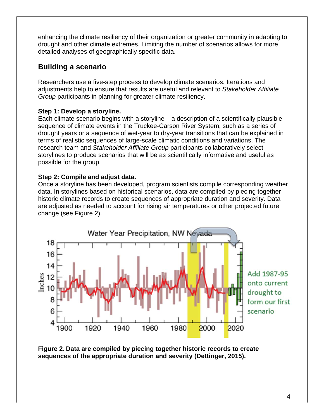enhancing the climate resiliency of their organization or greater community in adapting to drought and other climate extremes. Limiting the number of scenarios allows for more detailed analyses of geographically specific data.

## **Building a scenario**

Researchers use a five-step process to develop climate scenarios. Iterations and adjustments help to ensure that results are useful and relevant to *Stakeholder Affiliate Group* participants in planning for greater climate resiliency.

#### **Step 1: Develop a storyline.**

Each climate scenario begins with a storyline – a description of a scientifically plausible sequence of climate events in the Truckee-Carson River System, such as a series of drought years or a sequence of wet-year to dry-year transitions that can be explained in terms of realistic sequences of large-scale climatic conditions and variations. The research team and *Stakeholder Affiliate Group* participants collaboratively select storylines to produce scenarios that will be as scientifically informative and useful as possible for the group.

#### **Step 2: Compile and adjust data.**

Once a storyline has been developed, program scientists compile corresponding weather data. In storylines based on historical scenarios, data are compiled by piecing together historic climate records to create sequences of appropriate duration and severity. Data are adjusted as needed to account for rising air temperatures or other projected future change (see Figure 2).



**Figure 2. Data are compiled by piecing together historic records to create sequences of the appropriate duration and severity (Dettinger, 2015).**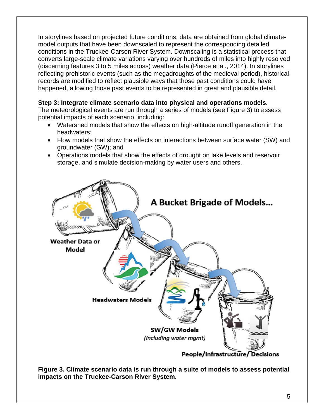In storylines based on projected future conditions, data are obtained from global climatemodel outputs that have been downscaled to represent the corresponding detailed conditions in the Truckee-Carson River System. Downscaling is a statistical process that converts large-scale climate variations varying over hundreds of miles into highly resolved (discerning features 3 to 5 miles across) weather data (Pierce et al., 2014). In storylines reflecting prehistoric events (such as the megadroughts of the medieval period), historical records are modified to reflect plausible ways that those past conditions could have happened, allowing those past events to be represented in great and plausible detail.

#### **Step 3: Integrate climate scenario data into physical and operations models.**

The meteorological events are run through a series of models (see Figure 3) to assess potential impacts of each scenario, including:

- Watershed models that show the effects on high-altitude runoff generation in the headwaters;
- Flow models that show the effects on interactions between surface water (SW) and groundwater (GW); and
- Operations models that show the effects of drought on lake levels and reservoir storage, and simulate decision-making by water users and others.



**Figure 3. Climate scenario data is run through a suite of models to assess potential impacts on the Truckee-Carson River System.**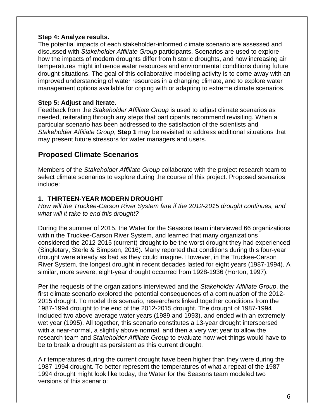#### **Step 4: Analyze results.**

The potential impacts of each stakeholder-informed climate scenario are assessed and discussed with *Stakeholder Affiliate Group* participants. Scenarios are used to explore how the impacts of modern droughts differ from historic droughts, and how increasing air temperatures might influence water resources and environmental conditions during future drought situations. The goal of this collaborative modeling activity is to come away with an improved understanding of water resources in a changing climate, and to explore water management options available for coping with or adapting to extreme climate scenarios.

#### **Step 5: Adjust and iterate.**

Feedback from the *Stakeholder Affiliate Group* is used to adjust climate scenarios as needed, reiterating through any steps that participants recommend revisiting. When a particular scenario has been addressed to the satisfaction of the scientists and *Stakeholder Affiliate Group*, **Step 1** may be revisited to address additional situations that may present future stressors for water managers and users.

## **Proposed Climate Scenarios**

Members of the *Stakeholder Affiliate Group* collaborate with the project research team to select climate scenarios to explore during the course of this project. Proposed scenarios include:

#### **1. THIRTEEN-YEAR MODERN DROUGHT**

*How will the Truckee-Carson River System fare if the 2012-2015 drought continues, and what will it take to end this drought?* 

During the summer of 2015, the Water for the Seasons team interviewed 66 organizations within the Truckee-Carson River System, and learned that many organizations considered the 2012-2015 (current) drought to be the worst drought they had experienced (Singletary, Sterle & Simpson, 2016). Many reported that conditions during this four-year drought were already as bad as they could imagine. However, in the Truckee-Carson River System, the longest drought in recent decades lasted for eight years (1987-1994). A similar, more severe, eight-year drought occurred from 1928-1936 (Horton, 1997).

Per the requests of the organizations interviewed and the *Stakeholder Affiliate Group*, the first climate scenario explored the potential consequences of a continuation of the 2012- 2015 drought. To model this scenario, researchers linked together conditions from the 1987-1994 drought to the end of the 2012-2015 drought. The drought of 1987-1994 included two above-average water years (1989 and 1993), and ended with an extremely wet year (1995). All together, this scenario constitutes a 13-year drought interspersed with a near-normal, a slightly above normal, and then a very wet year to allow the research team and *Stakeholder Affiliate Group* to evaluate how wet things would have to be to break a drought as persistent as this current drought.

Air temperatures during the current drought have been higher than they were during the 1987-1994 drought. To better represent the temperatures of what a repeat of the 1987- 1994 drought might look like today, the Water for the Seasons team modeled two versions of this scenario: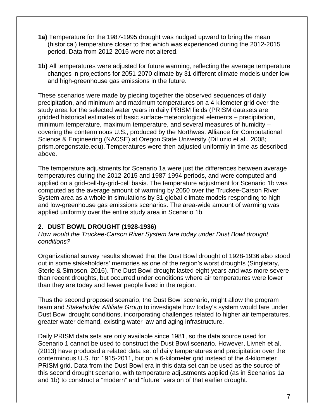- **1a)** Temperature for the 1987-1995 drought was nudged upward to bring the mean (historical) temperature closer to that which was experienced during the 2012-2015 period. Data from 2012-2015 were not altered.
- **1b)** All temperatures were adjusted for future warming, reflecting the average temperature changes in projections for 2051-2070 climate by 31 different climate models under low and high-greenhouse gas emissions in the future.

These scenarios were made by piecing together the observed sequences of daily precipitation, and minimum and maximum temperatures on a 4-kilometer grid over the study area for the selected water years in daily PRISM fields (PRISM datasets are gridded historical estimates of basic surface-meteorological elements – precipitation, minimum temperature, maximum temperature, and several measures of humidity – covering the conterminous U.S., produced by the Northwest Alliance for Computational Science & Engineering (NACSE) at Oregon State University (DiLuzio et al., 2008; prism.oregonstate.edu). Temperatures were then adjusted uniformly in time as described above.

The temperature adjustments for Scenario 1a were just the differences between average temperatures during the 2012-2015 and 1987-1994 periods, and were computed and applied on a grid-cell-by-grid-cell basis. The temperature adjustment for Scenario 1b was computed as the average amount of warming by 2050 over the Truckee-Carson River System area as a whole in simulations by 31 global-climate models responding to highand low-greenhouse gas emissions scenarios. The area-wide amount of warming was applied uniformly over the entire study area in Scenario 1b.

#### **2. DUST BOWL DROUGHT (1928-1936)**

*How would the Truckee-Carson River System fare today under Dust Bowl drought conditions?* 

Organizational survey results showed that the Dust Bowl drought of 1928-1936 also stood out in some stakeholders' memories as one of the region's worst droughts (Singletary, Sterle & Simpson, 2016). The Dust Bowl drought lasted eight years and was more severe than recent droughts, but occurred under conditions where air temperatures were lower than they are today and fewer people lived in the region.

Thus the second proposed scenario, the Dust Bowl scenario, might allow the program team and *Stakeholder Affiliate Group* to investigate how today's system would fare under Dust Bowl drought conditions, incorporating challenges related to higher air temperatures, greater water demand, existing water law and aging infrastructure.

Daily PRISM data sets are only available since 1981, so the data source used for Scenario 1 cannot be used to construct the Dust Bowl scenario. However, Livneh et al. (2013) have produced a related data set of daily temperatures and precipitation over the conterminous U.S. for 1915-2011, but on a 6-kilometer grid instead of the 4-kilometer PRISM grid. Data from the Dust Bowl era in this data set can be used as the source of this second drought scenario, with temperature adjustments applied (as in Scenarios 1a and 1b) to construct a "modern" and "future" version of that earlier drought.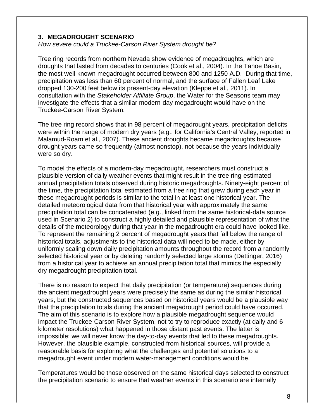#### **3. MEGADROUGHT SCENARIO**

*How severe could a Truckee-Carson River System drought be?* 

Tree ring records from northern Nevada show evidence of megadroughts, which are droughts that lasted from decades to centuries (Cook et al., 2004). In the Tahoe Basin, the most well-known megadrought occurred between 800 and 1250 A.D. During that time, precipitation was less than 60 percent of normal, and the surface of Fallen Leaf Lake dropped 130-200 feet below its present-day elevation (Kleppe et al., 2011). In consultation with the *Stakeholder Affiliate Group*, the Water for the Seasons team may investigate the effects that a similar modern-day megadrought would have on the Truckee-Carson River System.

The tree ring record shows that in 98 percent of megadrought years, precipitation deficits were within the range of modern dry years (e.g., for California's Central Valley, reported in Malamud-Roam et al., 2007). These ancient droughts became megadroughts because drought years came so frequently (almost nonstop), not because the years individually were so dry.

To model the effects of a modern-day megadrought, researchers must construct a plausible version of daily weather events that might result in the tree ring-estimated annual precipitation totals observed during historic megadroughts. Ninety-eight percent of the time, the precipitation total estimated from a tree ring that grew during each year in these megadrought periods is similar to the total in at least one historical year. The detailed meteorological data from that historical year with approximately the same precipitation total can be concatenated (e.g., linked from the same historical-data source used in Scenario 2) to construct a highly detailed and plausible representation of what the details of the meteorology during that year in the megadrought era could have looked like. To represent the remaining 2 percent of megadrought years that fall below the range of historical totals, adjustments to the historical data will need to be made, either by uniformly scaling down daily precipitation amounts throughout the record from a randomly selected historical year or by deleting randomly selected large storms (Dettinger, 2016) from a historical year to achieve an annual precipitation total that mimics the especially dry megadrought precipitation total.

There is no reason to expect that daily precipitation (or temperature) sequences during the ancient megadrought years were precisely the same as during the similar historical years, but the constructed sequences based on historical years would be a plausible way that the precipitation totals during the ancient megadrought period could have occurred. The aim of this scenario is to explore how a plausible megadrought sequence would impact the Truckee-Carson River System, not to try to reproduce exactly (at daily and 6 kilometer resolutions) what happened in those distant past events. The latter is impossible; we will never know the day-to-day events that led to these megadroughts. However, the plausible example, constructed from historical sources, will provide a reasonable basis for exploring what the challenges and potential solutions to a megadrought event under modern water-management conditions would be.

Temperatures would be those observed on the same historical days selected to construct the precipitation scenario to ensure that weather events in this scenario are internally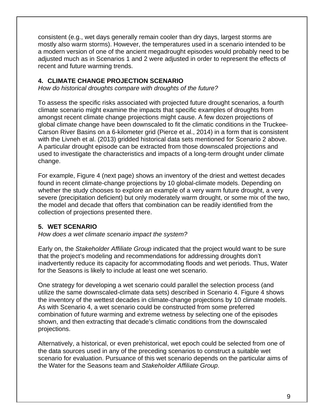consistent (e.g., wet days generally remain cooler than dry days, largest storms are mostly also warm storms). However, the temperatures used in a scenario intended to be a modern version of one of the ancient megadrought episodes would probably need to be adjusted much as in Scenarios 1 and 2 were adjusted in order to represent the effects of recent and future warming trends.

#### **4. CLIMATE CHANGE PROJECTION SCENARIO**

*How do historical droughts compare with droughts of the future?* 

To assess the specific risks associated with projected future drought scenarios, a fourth climate scenario might examine the impacts that specific examples of droughts from amongst recent climate change projections might cause. A few dozen projections of global climate change have been downscaled to fit the climatic conditions in the Truckee-Carson River Basins on a 6-kilometer grid (Pierce et al., 2014) in a form that is consistent with the Livneh et al. (2013) gridded historical data sets mentioned for Scenario 2 above. A particular drought episode can be extracted from those downscaled projections and used to investigate the characteristics and impacts of a long-term drought under climate change.

For example, Figure 4 (next page) shows an inventory of the driest and wettest decades found in recent climate-change projections by 10 global-climate models. Depending on whether the study chooses to explore an example of a very warm future drought, a very severe (precipitation deficient) but only moderately warm drought, or some mix of the two, the model and decade that offers that combination can be readily identified from the collection of projections presented there.

#### **5. WET SCENARIO**

*How does a wet climate scenario impact the system?* 

Early on, the *Stakeholder Affiliate Group* indicated that the project would want to be sure that the project's modeling and recommendations for addressing droughts don't inadvertently reduce its capacity for accommodating floods and wet periods. Thus, Water for the Seasons is likely to include at least one wet scenario.

One strategy for developing a wet scenario could parallel the selection process (and utilize the same downscaled-climate data sets) described in Scenario 4. Figure 4 shows the inventory of the wettest decades in climate-change projections by 10 climate models. As with Scenario 4, a wet scenario could be constructed from some preferred combination of future warming and extreme wetness by selecting one of the episodes shown, and then extracting that decade's climatic conditions from the downscaled projections.

Alternatively, a historical, or even prehistorical, wet epoch could be selected from one of the data sources used in any of the preceding scenarios to construct a suitable wet scenario for evaluation. Pursuance of this wet scenario depends on the particular aims of the Water for the Seasons team and *Stakeholder Affiliate Group*.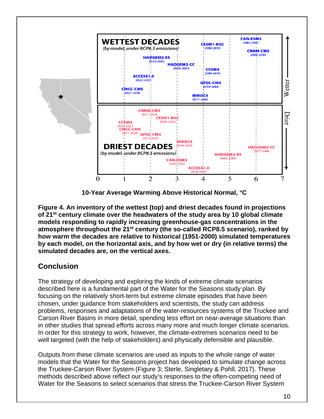

**10-Year Average Warming Above Historical Normal, °C** 

**Figure 4. An inventory of the wettest (top) and driest decades found in projections of 21st century climate over the headwaters of the study area by 10 global climate models responding to rapidly increasing greenhouse-gas concentrations in the atmosphere throughout the 21st century (the so-called RCP8.5 scenario), ranked by how warm the decades are relative to historical (1951-2000) simulated temperatures by each model, on the horizontal axis, and by how wet or dry (in relative terms) the simulated decades are, on the vertical axes.** 

## **Conclusion**

The strategy of developing and exploring the kinds of extreme climate scenarios described here is a fundamental part of the Water for the Seasons study plan. By focusing on the relatively short-term but extreme climate episodes that have been chosen, under guidance from stakeholders and scientists, the study can address problems, responses and adaptations of the water-resources systems of the Truckee and Carson River Basins in more detail, spending less effort on near-average situations than in other studies that spread efforts across many more and much longer climate scenarios. In order for this strategy to work, however, the climate-extremes scenarios need to be well targeted (with the help of stakeholders) and physically defensible and plausible.

Outputs from these climate scenarios are used as inputs to the whole range of water models that the Water for the Seasons project has developed to simulate change across the Truckee-Carson River System (Figure 3; Sterle, Singletary & Pohll, 2017). These methods described above reflect our study's responses to the often-competing need of Water for the Seasons to select scenarios that stress the Truckee-Carson River System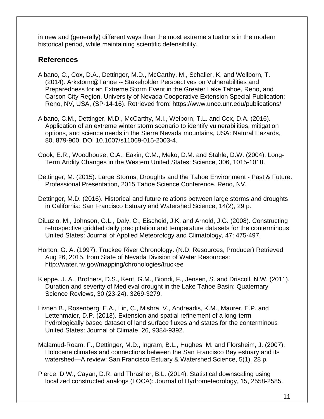in new and (generally) different ways than the most extreme situations in the modern historical period, while maintaining scientific defensibility.

### **References**

- Albano, C., Cox, D.A., Dettinger, M.D., McCarthy, M., Schaller, K. and Wellborn, T. (2014). Arkstorm@Tahoe -- Stakeholder Perspectives on Vulnerabilities and Preparedness for an Extreme Storm Event in the Greater Lake Tahoe, Reno, and Carson City Region. University of Nevada Cooperative Extension Special Publication: Reno, NV, USA, (SP-14-16). Retrieved from: https://www.unce.unr.edu/publications/
- Albano, C.M., Dettinger, M.D., McCarthy, M.I., Welborn, T.L. and Cox, D.A. (2016)*.* Application of an extreme winter storm scenario to identify vulnerabilities, mitigation options, and science needs in the Sierra Nevada mountains, USA: Natural Hazards, 80, 879-900, DOI 10.1007/s11069-015-2003-4.
- Cook, E.R., Woodhouse, C.A., Eakin, C.M., Meko, D.M. and Stahle, D.W. (2004). Long-Term Aridity Changes in the Western United States: Science, 306, 1015-1018.
- Dettinger, M. (2015). Large Storms, Droughts and the Tahoe Environment Past & Future. Professional Presentation, 2015 Tahoe Science Conference. Reno, NV.
- Dettinger, M.D. (2016). Historical and future relations between large storms and droughts in California: San Francisco Estuary and Watershed Science, 14(2), 29 p.
- DiLuzio, M., Johnson, G.L., Daly, C., Eischeid, J.K. and Arnold, J.G. (2008). Constructing retrospective gridded daily precipitation and temperature datasets for the conterminous United States: Journal of Applied Meteorology and Climatology, 47: 475-497.
- Horton, G. A. (1997). Truckee River Chronology. (N.D. Resources, Producer) Retrieved Aug 26, 2015, from State of Nevada Division of Water Resources: http://water.nv.gov/mapping/chronologies/truckee
- Kleppe, J. A., Brothers, D.S., Kent, G.M., Biondi, F., Jensen, S. and Driscoll, N.W. (2011). Duration and severity of Medieval drought in the Lake Tahoe Basin: Quaternary Science Reviews, 30 (23-24), 3269-3279.
- Livneh B., Rosenberg, E.A., Lin, C., Mishra, V., Andreadis, K.M., Maurer, E.P. and Lettenmaier, D.P. (2013). Extension and spatial refinement of a long-term hydrologically based dataset of land surface fluxes and states for the conterminous United States: Journal of Climate, 26, 9384-9392.
- Malamud-Roam, F., Dettinger, M.D., Ingram, B.L., Hughes, M. and Florsheim, J. (2007). Holocene climates and connections between the San Francisco Bay estuary and its watershed—A review: San Francisco Estuary & Watershed Science, 5(1), 28 p.
- Pierce, D.W., Cayan, D.R. and Thrasher, B.L. (2014). Statistical downscaling using localized constructed analogs (LOCA): Journal of Hydrometeorology, 15, 2558-2585.